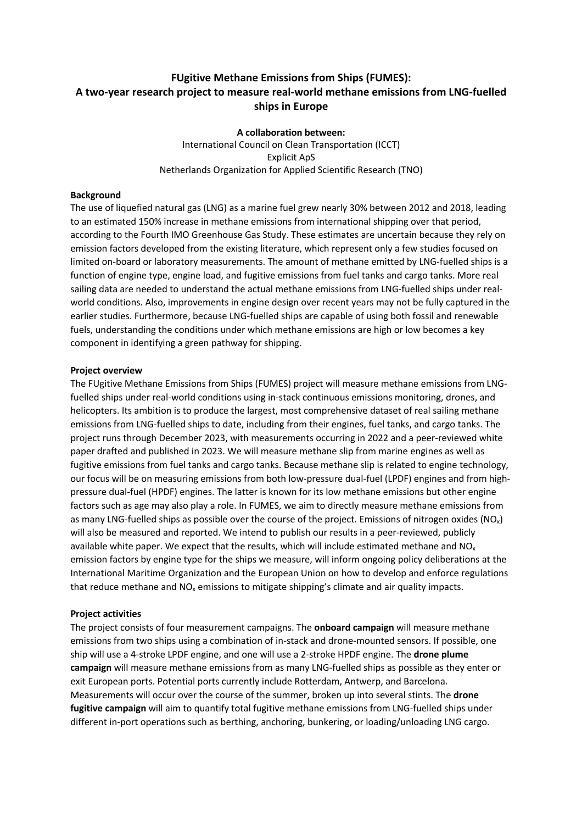# **FUgitive Methane Emissions from Ships (FUMES): A two-year research project to measure real-world methane emissions from LNG-fuelled ships in Europe**

**A collaboration between:** International Council on Clean Transportation (ICCT) Explicit ApS Netherlands Organization for Applied Scientific Research (TNO)

## **Background**

The use of liquefied natural gas (LNG) as a marine fuel grew nearly 30% between 2012 and 2018, leading to an estimated 150% increase in methane emissions from international shipping over that period, according to the Fourth IMO Greenhouse Gas Study. These estimates are uncertain because they rely on emission factors developed from the existing literature, which represent only a few studies focused on limited on-board or laboratory measurements. The amount of methane emitted by LNG-fuelled ships is a function of engine type, engine load, and fugitive emissions from fuel tanks and cargo tanks. More real sailing data are needed to understand the actual methane emissions from LNG-fuelled ships under realworld conditions. Also, improvements in engine design over recent years may not be fully captured in the earlier studies. Furthermore, because LNG-fuelled ships are capable of using both fossil and renewable fuels, understanding the conditions under which methane emissions are high or low becomes a key component in identifying a green pathway for shipping.

## **Project overview**

The FUgitive Methane Emissions from Ships (FUMES) project will measure methane emissions from LNGfuelled ships under real-world conditions using in-stack continuous emissions monitoring, drones, and helicopters. Its ambition is to produce the largest, most comprehensive dataset of real sailing methane emissions from LNG-fuelled ships to date, including from their engines, fuel tanks, and cargo tanks. The project runs through December 2023, with measurements occurring in 2022 and a peer-reviewed white paper drafted and published in 2023. We will measure methane slip from marine engines as well as fugitive emissions from fuel tanks and cargo tanks. Because methane slip is related to engine technology, our focus will be on measuring emissions from both low-pressure dual-fuel (LPDF) engines and from highpressure dual-fuel (HPDF) engines. The latter is known for its low methane emissions but other engine factors such as age may also play a role. In FUMES, we aim to directly measure methane emissions from as many LNG-fuelled ships as possible over the course of the project. Emissions of nitrogen oxides  $(NO<sub>x</sub>)$ will also be measured and reported. We intend to publish our results in a peer-reviewed, publicly available white paper. We expect that the results, which will include estimated methane and  $NO<sub>x</sub>$ emission factors by engine type for the ships we measure, will inform ongoing policy deliberations at the International Maritime Organization and the European Union on how to develop and enforce regulations that reduce methane and  $NO<sub>x</sub>$  emissions to mitigate shipping's climate and air quality impacts.

#### **Project activities**

The project consists of four measurement campaigns. The **onboard campaign** will measure methane emissions from two ships using a combination of in-stack and drone-mounted sensors. If possible, one ship will use a 4-stroke LPDF engine, and one will use a 2-stroke HPDF engine. The **drone plume campaign** will measure methane emissions from as many LNG-fuelled ships as possible as they enter or exit European ports. Potential ports currently include Rotterdam, Antwerp, and Barcelona. Measurements will occur over the course of the summer, broken up into several stints. The **drone fugitive campaign** will aim to quantify total fugitive methane emissions from LNG-fuelled ships under different in-port operations such as berthing, anchoring, bunkering, or loading/unloading LNG cargo.